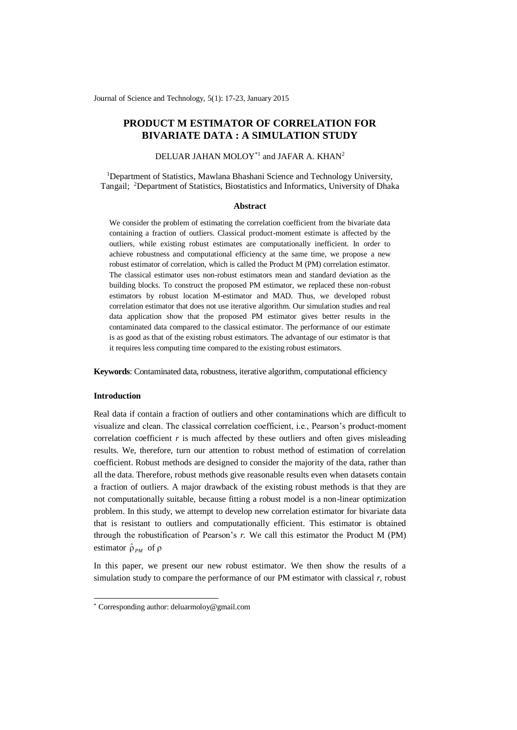Journal of Science and Technology, 5(1): 17-23, January 2015

# **PRODUCT M ESTIMATOR OF CORRELATION FOR BIVARIATE DATA : A SIMULATION STUDY**

## DELUAR JAHAN MOLOY<sup>\*1</sup> and JAFAR A. KHAN<sup>2</sup>

<sup>1</sup>Department of Statistics, Mawlana Bhashani Science and Technology University, Tangail; <sup>2</sup>Department of Statistics, Biostatistics and Informatics, University of Dhaka

#### **Abstract**

We consider the problem of estimating the correlation coefficient from the bivariate data containing a fraction of outliers. Classical product-moment estimate is affected by the outliers, while existing robust estimates are computationally inefficient. In order to achieve robustness and computational efficiency at the same time, we propose a new robust estimator of correlation, which is called the Product M (PM) correlation estimator. The classical estimator uses non-robust estimators mean and standard deviation as the building blocks. To construct the proposed PM estimator, we replaced these non-robust estimators by robust location M-estimator and MAD. Thus, we developed robust correlation estimator that does not use iterative algorithm. Our simulation studies and real data application show that the proposed PM estimator gives better results in the contaminated data compared to the classical estimator. The performance of our estimate is as good as that of the existing robust estimators. The advantage of our estimator is that it requires less computing time compared to the existing robust estimators.

**Keywords**: Contaminated data, robustness, iterative algorithm, computational efficiency

### **Introduction**

-

Real data if contain a fraction of outliers and other contaminations which are difficult to visualize and clean. The classical correlation coefficient, i.e., Pearson's product-moment correlation coefficient  $r$  is much affected by these outliers and often gives misleading results. We, therefore, turn our attention to robust method of estimation of correlation coefficient. Robust methods are designed to consider the majority of the data, rather than all the data. Therefore, robust methods give reasonable results even when datasets contain a fraction of outliers. A major drawback of the existing robust methods is that they are not computationally suitable, because fitting a robust model is a non-linear optimization problem. In this study, we attempt to develop new correlation estimator for bivariate data that is resistant to outliers and computationally efficient. This estimator is obtained through the robustification of Pearson's *r.* We call this estimator the Product M (PM) estimator  $\hat{\rho}_{PM}$  of  $\rho$ 

In this paper, we present our new robust estimator. We then show the results of a simulation study to compare the performance of our PM estimator with classical *r*, robust

<sup>\*</sup> Corresponding author: deluarmoloy@gmail.com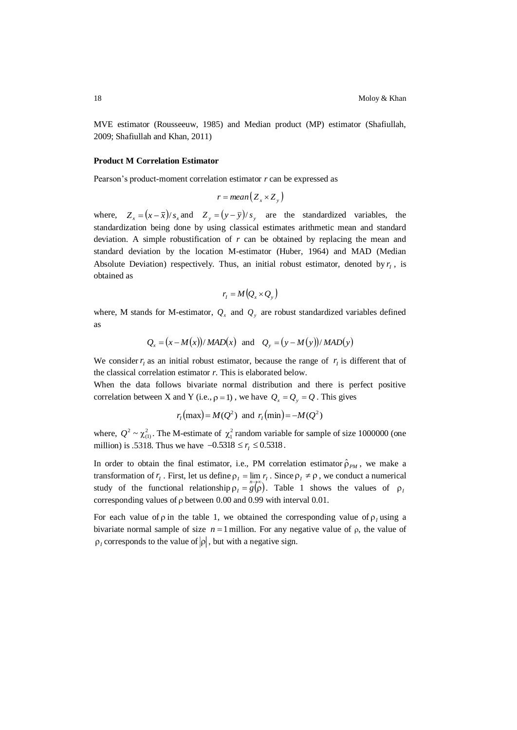MVE estimator (Rousseeuw, 1985) and Median product (MP) estimator (Shafiullah, 2009; Shafiullah and Khan, 2011)

#### **Product M Correlation Estimator**

Pearson's product-moment correlation estimator *r* can be expressed as

$$
r = mean(Z_x \times Z_y)
$$

where,  $Z_x = (x - \bar{x})/s_x$  and  $Z_y = (y - \bar{y})/s_y$  are the standardized variables, the standardization being done by using classical estimates arithmetic mean and standard deviation. A simple robustification of *r* can be obtained by replacing the mean and standard deviation by the location M-estimator (Huber, 1964) and MAD (Median Absolute Deviation) respectively. Thus, an initial robust estimator, denoted by  $r<sub>l</sub>$ , is obtained as

$$
r_{I} = M\big(Q_{x} \times Q_{y}\big)
$$

where, M stands for M-estimator,  $Q_x$  and  $Q_y$  are robust standardized variables defined as

$$
Q_x = (x - M(x))/MAD(x)
$$
 and  $Q_y = (y - M(y))/MAD(y)$ 

We consider  $r_i$  as an initial robust estimator, because the range of  $r_i$  is different that of the classical correlation estimator *r.* This is elaborated below.

When the data follows bivariate normal distribution and there is perfect positive correlation between X and Y (i.e.,  $\rho = 1$ ), we have  $Q_x = Q_y = Q$ . This gives

$$
r_1(\text{max}) = M(Q^2)
$$
 and  $r_1(\text{min}) = -M(Q^2)$ 

where,  $Q^2 \sim \chi_{(1)}^2$ . The M-estimate of  $\chi_1^2$  random variable for sample of size 1000000 (one million) is .5318. Thus we have  $-0.5318 \le r_I \le 0.5318$ .

In order to obtain the final estimator, i.e., PM correlation estimator  $\hat{\rho}_{PM}$ , we make a transformation of  $r_1$ . First, let us define  $\rho_1 = \lim r_1$ . Since  $\rho_1 \neq \rho$ , we conduct a numerical study of the functional relationship  $\rho_I = g(\vec{\rho})$ . Table 1 shows the values of  $\rho_I$ corresponding values of  $\rho$  between 0.00 and 0.99 with interval 0.01.

For each value of  $\rho$  in the table 1, we obtained the corresponding value of  $\rho$ <sub>l</sub> using a bivariate normal sample of size  $n = 1$  million. For any negative value of  $\rho$ , the value of  $\rho_l$  corresponds to the value of  $|\rho|$ , but with a negative sign.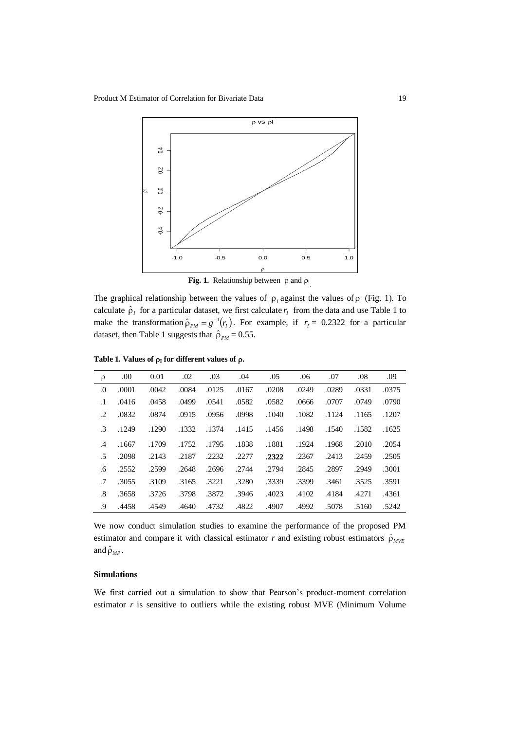

**Fig. 1.** Relationship between  $\rho$  and  $\rho_I$ .

The graphical relationship between the values of  $\rho_1$  against the values of  $\rho$  (Fig. 1). To calculate  $\hat{\rho}_I$  for a particular dataset, we first calculate  $r_I$  from the data and use Table 1 to make the transformation  $\hat{\rho}_{PM} = g^{-1}(r_I)$ . For example, if  $r_I = 0.2322$  for a particular dataset, then Table 1 suggests that  $\hat{\rho}_{PM} = 0.55$ .

| $\rho$                 | .00.  | 0.01  | .02   | .03   | .04   | .05   | .06   | .07   | .08   | .09   |
|------------------------|-------|-------|-------|-------|-------|-------|-------|-------|-------|-------|
| $\cdot 0$              | .0001 | .0042 | .0084 | .0125 | .0167 | .0208 | .0249 | .0289 | .0331 | .0375 |
| $\cdot$ 1              | .0416 | .0458 | .0499 | .0541 | .0582 | .0582 | .0666 | .0707 | .0749 | .0790 |
| .2                     | .0832 | .0874 | .0915 | .0956 | .0998 | .1040 | .1082 | .1124 | .1165 | .1207 |
| .3                     | .1249 | .1290 | .1332 | .1374 | .1415 | .1456 | .1498 | .1540 | .1582 | .1625 |
| $\cdot$ 4              | .1667 | .1709 | .1752 | .1795 | .1838 | .1881 | .1924 | .1968 | .2010 | .2054 |
| .5                     | .2098 | .2143 | .2187 | .2232 | .2277 | .2322 | .2367 | .2413 | .2459 | .2505 |
| .6                     | .2552 | .2599 | .2648 | .2696 | .2744 | .2794 | .2845 | .2897 | .2949 | .3001 |
| .7                     | .3055 | .3109 | .3165 | .3221 | .3280 | .3339 | .3399 | .3461 | .3525 | .3591 |
| $\cdot$ <sup>8</sup> . | .3658 | .3726 | .3798 | .3872 | .3946 | .4023 | .4102 | .4184 | .4271 | .4361 |
| .9                     | .4458 | .4549 | .4640 | .4732 | .4822 | .4907 | .4992 | .5078 | .5160 | .5242 |

Table 1. Values of  $\rho_I$  for different values of  $\rho$ .

We now conduct simulation studies to examine the performance of the proposed PM estimator and compare it with classical estimator *r* and existing robust estimators  $\hat{\rho}_{MVE}$ and  $\hat{\rho}_{MP}$ .

## **Simulations**

We first carried out a simulation to show that Pearson's product-moment correlation estimator  $r$  is sensitive to outliers while the existing robust MVE (Minimum Volume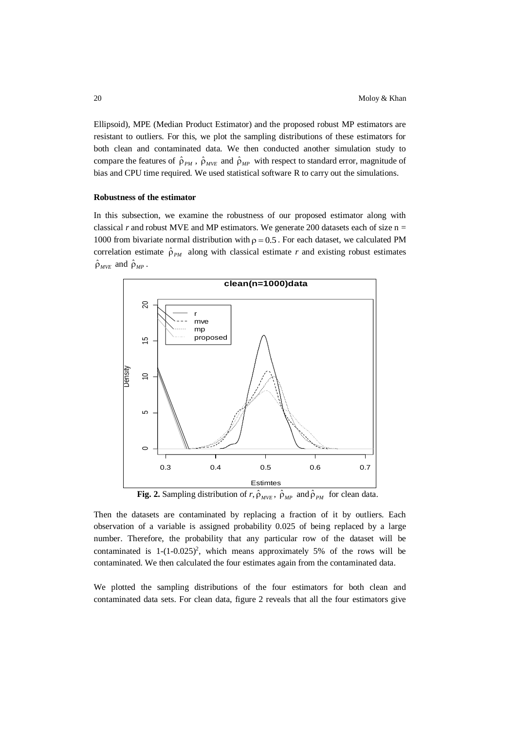Ellipsoid), MPE (Median Product Estimator) and the proposed robust MP estimators are resistant to outliers. For this, we plot the sampling distributions of these estimators for both clean and contaminated data. We then conducted another simulation study to compare the features of  $\hat{\rho}_{PM}$ ,  $\hat{\rho}_{MVE}$  and  $\hat{\rho}_{MP}$  with respect to standard error, magnitude of bias and CPU time required. We used statistical software R to carry out the simulations.

### **Robustness of the estimator**

In this subsection, we examine the robustness of our proposed estimator along with classical  $r$  and robust MVE and MP estimators. We generate 200 datasets each of size  $n =$ 1000 from bivariate normal distribution with  $p = 0.5$ . For each dataset, we calculated PM correlation estimate  $\hat{\rho}_{PM}$  along with classical estimate r and existing robust estimates  $\hat{\rho}_{_{MVE}}$  and  $\hat{\rho}_{_{MP}}$ .



**Fig. 2.** Sampling distribution of *r*,  $\hat{\rho}_{MVE}$ ,  $\hat{\rho}_{MP}$  and  $\hat{\rho}_{PM}$  for clean data.

Then the datasets are contaminated by replacing a fraction of it by outliers. Each observation of a variable is assigned probability 0.025 of being replaced by a large number. Therefore, the probability that any particular row of the dataset will be contaminated is  $1-(1-0.025)^2$ , which means approximately 5% of the rows will be contaminated. We then calculated the four estimates again from the contaminated data.

We plotted the sampling distributions of the four estimators for both clean and contaminated data sets. For clean data, figure 2 reveals that all the four estimators give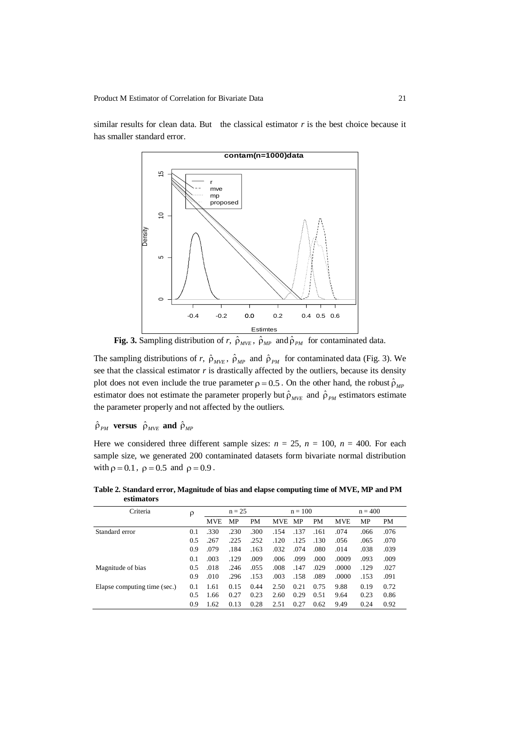similar results for clean data. But the classical estimator *r* is the best choice because it has smaller standard error.



**Fig. 3.** Sampling distribution of *r*,  $\hat{\rho}_{MVE}$ ,  $\hat{\rho}_{MP}$  and  $\hat{\rho}_{PM}$  for contaminated data.

The sampling distributions of *r*,  $\hat{\rho}_{MVE}$ ,  $\hat{\rho}_{MP}$  and  $\hat{\rho}_{PM}$  for contaminated data (Fig. 3). We see that the classical estimator *r* is drastically affected by the outliers, because its density plot does not even include the true parameter  $\rho = 0.5$ . On the other hand, the robust  $\hat{\rho}_{MP}$ estimator does not estimate the parameter properly but  $\hat{\rho}_{MVE}$  and  $\hat{\rho}_{PM}$  estimators estimate the parameter properly and not affected by the outliers.

 $\hat{\rho}_{_{PM}}$  versus  $\hat{\rho}_{_{MVE}}$  and  $\hat{\rho}_{_{MP}}$ 

Here we considered three different sample sizes:  $n = 25$ ,  $n = 100$ ,  $n = 400$ . For each sample size, we generated 200 contaminated datasets form bivariate normal distribution with  $\rho = 0.1$ ,  $\rho = 0.5$  and  $\rho = 0.9$ .

**Table 2. Standard error, Magnitude of bias and elapse computing time of MVE, MP and PM estimators** Criteria  $\rho \qquad n = 25$   $n = 100$   $n = 400$ 

| Criteria                     | ρ   | $n = 25$   |      |      | $n = 100$  |      |           | $n = 400$  |      |           |
|------------------------------|-----|------------|------|------|------------|------|-----------|------------|------|-----------|
|                              |     | <b>MVE</b> | MP   | PM   | <b>MVE</b> | МP   | <b>PM</b> | <b>MVE</b> | MP   | <b>PM</b> |
| Standard error               | 0.1 | .330       | .230 | .300 | .154       | .137 | .161      | .074       | .066 | .076      |
|                              | 0.5 | .267       | .225 | .252 | .120       | .125 | .130      | .056       | .065 | .070      |
|                              | 0.9 | .079       | .184 | .163 | .032       | .074 | .080      | .014       | .038 | .039      |
|                              | 0.1 | .003       | .129 | .009 | .006       | .099 | .000      | .0009      | .093 | .009      |
| Magnitude of bias            | 0.5 | .018       | .246 | .055 | .008       | .147 | .029      | .0000      | .129 | .027      |
|                              | 0.9 | .010       | .296 | .153 | .003       | .158 | .089      | .0000      | .153 | .091      |
| Elapse computing time (sec.) | 0.1 | 1.61       | 0.15 | 0.44 | 2.50       | 0.21 | 0.75      | 9.88       | 0.19 | 0.72      |
|                              | 0.5 | 1.66       | 0.27 | 0.23 | 2.60       | 0.29 | 0.51      | 9.64       | 0.23 | 0.86      |
|                              | 0.9 | 1.62       | 0.13 | 0.28 | 2.51       | 0.27 | 0.62      | 9.49       | 0.24 | 0.92      |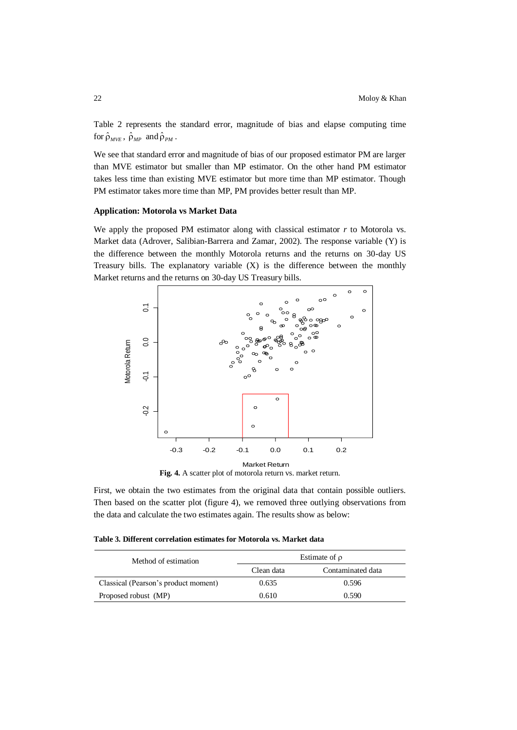Table 2 represents the standard error, magnitude of bias and elapse computing time for  $\hat{\rho}_{MVE}$ ,  $\hat{\rho}_{MP}$  and  $\hat{\rho}_{PM}$ .

We see that standard error and magnitude of bias of our proposed estimator PM are larger than MVE estimator but smaller than MP estimator. On the other hand PM estimator takes less time than existing MVE estimator but more time than MP estimator. Though PM estimator takes more time than MP, PM provides better result than MP.

#### **Application: Motorola vs Market Data**

We apply the proposed PM estimator along with classical estimator *r* to Motorola vs. Market data (Adrover, Salibian-Barrera and Zamar, 2002). The response variable (Y) is the difference between the monthly Motorola returns and the returns on 30-day US Treasury bills. The explanatory variable  $(X)$  is the difference between the monthly Market returns and the returns on 30-day US Treasury bills.



Fig. 4. A scatter plot of motorola return vs. market return.

First, we obtain the two estimates from the original data that contain possible outliers. Then based on the scatter plot (figure 4), we removed three outlying observations from the data and calculate the two estimates again. The results show as below:

**Table 3. Different correlation estimates for Motorola vs. Market data**

| Method of estimation                 | Estimate of $\rho$ |                   |  |  |  |
|--------------------------------------|--------------------|-------------------|--|--|--|
|                                      | Clean data         | Contaminated data |  |  |  |
| Classical (Pearson's product moment) | 0.635              | 0.596             |  |  |  |
| Proposed robust (MP)                 | 0.610              | 0.590             |  |  |  |